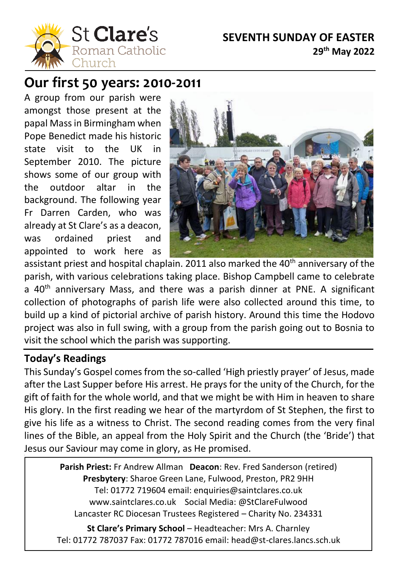

## **SEVENTH SUNDAY OF EASTER 29 th May 2022**

## **Our first 50 years: 2010-2011**

A group from our parish were amongst those present at the papal Mass in Birmingham when Pope Benedict made his historic state visit to the UK in September 2010. The picture shows some of our group with the outdoor altar in the background. The following year Fr Darren Carden, who was already at St Clare's as a deacon, was ordained priest and appointed to work here as



assistant priest and hospital chaplain. 2011 also marked the 40<sup>th</sup> anniversary of the parish, with various celebrations taking place. Bishop Campbell came to celebrate a 40<sup>th</sup> anniversary Mass, and there was a parish dinner at PNE. A significant collection of photographs of parish life were also collected around this time, to build up a kind of pictorial archive of parish history. Around this time the Hodovo project was also in full swing, with a group from the parish going out to Bosnia to visit the school which the parish was supporting.

### **Today's Readings**

í

This Sunday's Gospel comes from the so-called 'High priestly prayer' of Jesus, made after the Last Supper before His arrest. He prays for the unity of the Church, for the gift of faith for the whole world, and that we might be with Him in heaven to share His glory. In the first reading we hear of the martyrdom of St Stephen, the first to give his life as a witness to Christ. The second reading comes from the very final lines of the Bible, an appeal from the Holy Spirit and the Church (the 'Bride') that Jesus our Saviour may come in glory, as He promised.

> **Parish Priest:** Fr Andrew Allman **Deacon**: Rev. Fred Sanderson (retired) **Presbytery**: Sharoe Green Lane, Fulwood, Preston, PR2 9HH Tel: 01772 719604 email: enquiries@saintclares.co.uk www.saintclares.co.uk Social Media: @StClareFulwood Lancaster RC Diocesan Trustees Registered – Charity No. 234331

**St Clare's Primary School** – Headteacher: Mrs A. Charnley Tel: 01772 787037 Fax: 01772 787016 email: head@st-clares.lancs.sch.uk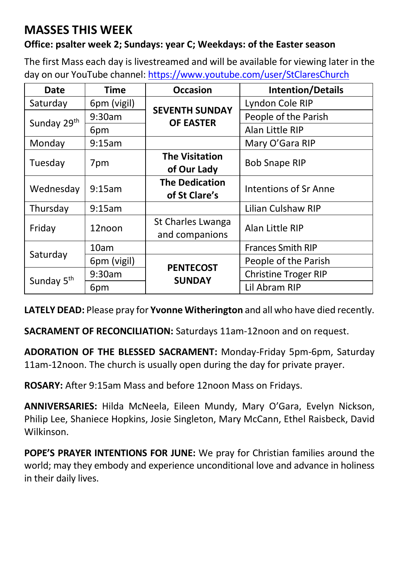# **MASSES THIS WEEK**

#### **Office: psalter week 2; Sundays: year C; Weekdays: of the Easter season**

The first Mass each day is livestreamed and will be available for viewing later in the day on our YouTube channel[: https://www.youtube.com/user/StClaresChurch](https://www.youtube.com/user/StClaresChurch)

| <b>Date</b>            | <b>Time</b> | <b>Occasion</b>                   | <b>Intention/Details</b>    |  |
|------------------------|-------------|-----------------------------------|-----------------------------|--|
| Saturday               | 6pm (vigil) | <b>SEVENTH SUNDAY</b>             | Lyndon Cole RIP             |  |
| Sunday 29th            | $9:30$ am   | <b>OF EASTER</b>                  | People of the Parish        |  |
|                        | 6pm         |                                   | Alan Little RIP             |  |
| Monday                 | 9:15am      |                                   | Mary O'Gara RIP             |  |
| Tuesday                | 7pm         | <b>The Visitation</b>             | <b>Bob Snape RIP</b>        |  |
|                        |             | of Our Lady                       |                             |  |
| Wednesday              | 9:15am      | <b>The Dedication</b>             | Intentions of Sr Anne       |  |
|                        |             | of St Clare's                     |                             |  |
| Thursday               | 9:15am      |                                   | Lilian Culshaw RIP          |  |
| Friday                 | 12noon      | St Charles Lwanga                 | Alan Little RIP             |  |
|                        |             | and companions                    |                             |  |
| Saturday               | 10am        |                                   | <b>Frances Smith RIP</b>    |  |
|                        | 6pm (vigil) | <b>PENTECOST</b><br><b>SUNDAY</b> | People of the Parish        |  |
| Sunday 5 <sup>th</sup> | $9:30$ am   |                                   | <b>Christine Troger RIP</b> |  |
|                        | 6pm         |                                   | Lil Abram RIP               |  |

**LATELY DEAD:** Please pray for **Yvonne Witherington** and all who have died recently.

**SACRAMENT OF RECONCILIATION:** Saturdays 11am-12noon and on request.

**ADORATION OF THE BLESSED SACRAMENT:** Monday-Friday 5pm-6pm, Saturday 11am-12noon. The church is usually open during the day for private prayer.

**ROSARY:** After 9:15am Mass and before 12noon Mass on Fridays.

**ANNIVERSARIES:** Hilda McNeela, Eileen Mundy, Mary O'Gara, Evelyn Nickson, Philip Lee, Shaniece Hopkins, Josie Singleton, Mary McCann, Ethel Raisbeck, David Wilkinson.

**POPE'S PRAYER INTENTIONS FOR JUNE:** We pray for Christian families around the world; may they embody and experience unconditional love and advance in holiness in their daily lives.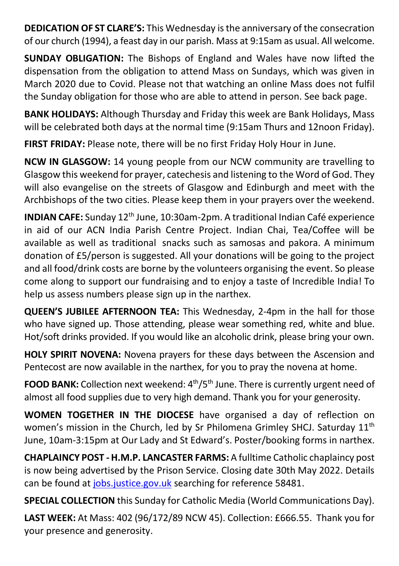**DEDICATION OF ST CLARE'S:** This Wednesday is the anniversary of the consecration of our church (1994), a feast day in our parish. Mass at 9:15am as usual. All welcome.

**SUNDAY OBLIGATION:** The Bishops of England and Wales have now lifted the dispensation from the obligation to attend Mass on Sundays, which was given in March 2020 due to Covid. Please not that watching an online Mass does not fulfil the Sunday obligation for those who are able to attend in person. See back page.

**BANK HOLIDAYS:** Although Thursday and Friday this week are Bank Holidays, Mass will be celebrated both days at the normal time (9:15am Thurs and 12noon Friday).

**FIRST FRIDAY:** Please note, there will be no first Friday Holy Hour in June.

**NCW IN GLASGOW:** 14 young people from our NCW community are travelling to Glasgow this weekend for prayer, catechesis and listening to the Word of God. They will also evangelise on the streets of Glasgow and Edinburgh and meet with the Archbishops of the two cities. Please keep them in your prayers over the weekend.

**INDIAN CAFE:** Sunday 12<sup>th</sup> June, 10:30am-2pm. A traditional Indian Café experience in aid of our ACN India Parish Centre Project. Indian Chai, Tea/Coffee will be available as well as traditional snacks such as samosas and pakora. A minimum donation of £5/person is suggested. All your donations will be going to the project and all food/drink costs are borne by the volunteers organising the event. So please come along to support our fundraising and to enjoy a taste of Incredible India! To help us assess numbers please sign up in the narthex.

**QUEEN'S JUBILEE AFTERNOON TEA:** This Wednesday, 2-4pm in the hall for those who have signed up. Those attending, please wear something red, white and blue. Hot/soft drinks provided. If you would like an alcoholic drink, please bring your own.

**HOLY SPIRIT NOVENA:** Novena prayers for these days between the Ascension and Pentecost are now available in the narthex, for you to pray the novena at home.

**FOOD BANK:** Collection next weekend: 4<sup>th</sup>/5<sup>th</sup> June. There is currently urgent need of almost all food supplies due to very high demand. Thank you for your generosity.

**WOMEN TOGETHER IN THE DIOCESE** have organised a day of reflection on women's mission in the Church, led by Sr Philomena Grimley SHCJ. Saturday 11<sup>th</sup> June, 10am-3:15pm at Our Lady and St Edward's. Poster/booking forms in narthex.

**CHAPLAINCY POST - H.M.P. LANCASTER FARMS:** A fulltime Catholic chaplaincy post is now being advertised by the Prison Service. Closing date 30th May 2022. Details can be found at [jobs.justice.gov.uk](http://jobs.justice.gov.uk/) searching for reference 58481.

**SPECIAL COLLECTION** this Sunday for Catholic Media (World Communications Day).

**LAST WEEK:** At Mass: 402 (96/172/89 NCW 45). Collection: £666.55. Thank you for your presence and generosity.